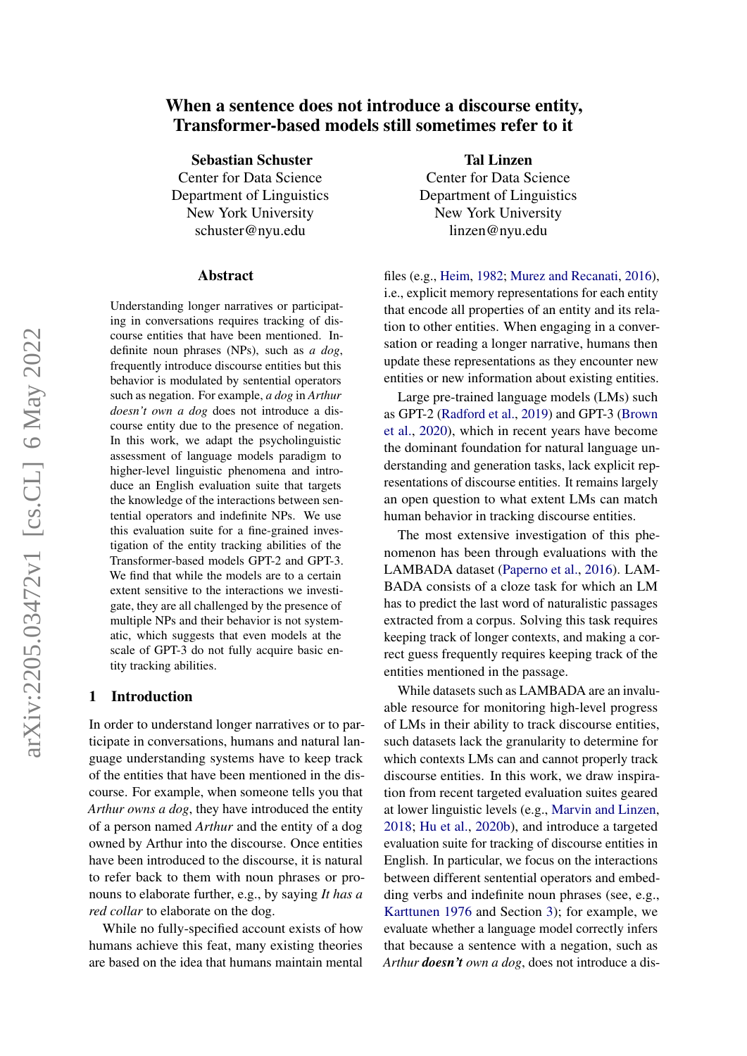# arXiv:2205.03472v1 [cs.CL] 6 May 2022 arXiv:2205.03472v1 [cs.CL] 6 May 2022

# When a sentence does not introduce a discourse entity, Transformer-based models still sometimes refer to it

Sebastian Schuster

Center for Data Science Department of Linguistics New York University schuster@nyu.edu

### Abstract

Understanding longer narratives or participating in conversations requires tracking of discourse entities that have been mentioned. Indefinite noun phrases (NPs), such as *a dog*, frequently introduce discourse entities but this behavior is modulated by sentential operators such as negation. For example, *a dog* in *Arthur doesn't own a dog* does not introduce a discourse entity due to the presence of negation. In this work, we adapt the psycholinguistic assessment of language models paradigm to higher-level linguistic phenomena and introduce an English evaluation suite that targets the knowledge of the interactions between sentential operators and indefinite NPs. We use this evaluation suite for a fine-grained investigation of the entity tracking abilities of the Transformer-based models GPT-2 and GPT-3. We find that while the models are to a certain extent sensitive to the interactions we investigate, they are all challenged by the presence of multiple NPs and their behavior is not systematic, which suggests that even models at the scale of GPT-3 do not fully acquire basic entity tracking abilities.

### 1 Introduction

In order to understand longer narratives or to participate in conversations, humans and natural language understanding systems have to keep track of the entities that have been mentioned in the discourse. For example, when someone tells you that *Arthur owns a dog*, they have introduced the entity of a person named *Arthur* and the entity of a dog owned by Arthur into the discourse. Once entities have been introduced to the discourse, it is natural to refer back to them with noun phrases or pronouns to elaborate further, e.g., by saying *It has a red collar* to elaborate on the dog.

While no fully-specified account exists of how humans achieve this feat, many existing theories are based on the idea that humans maintain mental

Tal Linzen Center for Data Science Department of Linguistics New York University linzen@nyu.edu

files (e.g., [Heim,](#page-10-0) [1982;](#page-10-0) [Murez and Recanati,](#page-11-0) [2016\)](#page-11-0), i.e., explicit memory representations for each entity that encode all properties of an entity and its relation to other entities. When engaging in a conversation or reading a longer narrative, humans then update these representations as they encounter new entities or new information about existing entities.

Large pre-trained language models (LMs) such as GPT-2 [\(Radford et al.,](#page-11-1) [2019\)](#page-11-1) and GPT-3 [\(Brown](#page-9-0) [et al.,](#page-9-0) [2020\)](#page-9-0), which in recent years have become the dominant foundation for natural language understanding and generation tasks, lack explicit representations of discourse entities. It remains largely an open question to what extent LMs can match human behavior in tracking discourse entities.

The most extensive investigation of this phenomenon has been through evaluations with the LAMBADA dataset [\(Paperno et al.,](#page-11-2) [2016\)](#page-11-2). LAM-BADA consists of a cloze task for which an LM has to predict the last word of naturalistic passages extracted from a corpus. Solving this task requires keeping track of longer contexts, and making a correct guess frequently requires keeping track of the entities mentioned in the passage.

While datasets such as LAMBADA are an invaluable resource for monitoring high-level progress of LMs in their ability to track discourse entities, such datasets lack the granularity to determine for which contexts LMs can and cannot properly track discourse entities. In this work, we draw inspiration from recent targeted evaluation suites geared at lower linguistic levels (e.g., [Marvin and Linzen,](#page-11-3) [2018;](#page-11-3) [Hu et al.,](#page-10-1) [2020b\)](#page-10-1), and introduce a targeted evaluation suite for tracking of discourse entities in English. In particular, we focus on the interactions between different sentential operators and embedding verbs and indefinite noun phrases (see, e.g., [Karttunen](#page-10-2) [1976](#page-10-2) and Section [3\)](#page-1-0); for example, we evaluate whether a language model correctly infers that because a sentence with a negation, such as *Arthur doesn't own a dog*, does not introduce a dis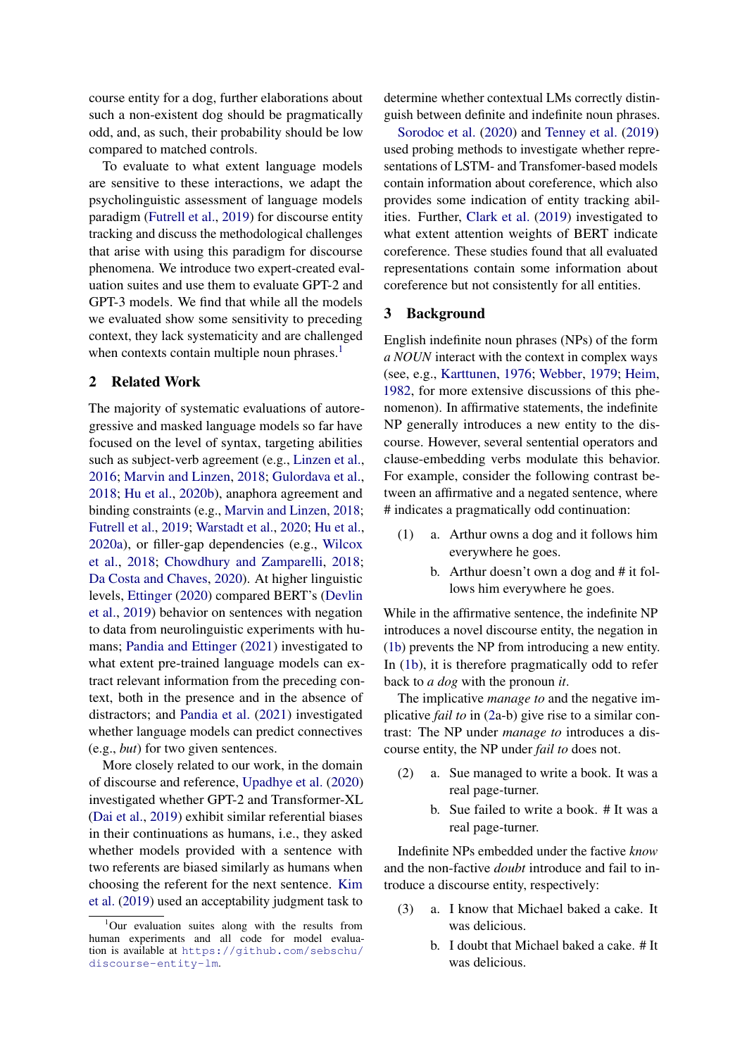course entity for a dog, further elaborations about such a non-existent dog should be pragmatically odd, and, as such, their probability should be low compared to matched controls.

To evaluate to what extent language models are sensitive to these interactions, we adapt the psycholinguistic assessment of language models paradigm [\(Futrell et al.,](#page-10-3) [2019\)](#page-10-3) for discourse entity tracking and discuss the methodological challenges that arise with using this paradigm for discourse phenomena. We introduce two expert-created evaluation suites and use them to evaluate GPT-2 and GPT-3 models. We find that while all the models we evaluated show some sensitivity to preceding context, they lack systematicity and are challenged when contexts contain multiple noun phrases.<sup>[1](#page-1-1)</sup>

### 2 Related Work

The majority of systematic evaluations of autoregressive and masked language models so far have focused on the level of syntax, targeting abilities such as subject-verb agreement (e.g., [Linzen et al.,](#page-10-4) [2016;](#page-10-4) [Marvin and Linzen,](#page-11-3) [2018;](#page-11-3) [Gulordava et al.,](#page-10-5) [2018;](#page-10-5) [Hu et al.,](#page-10-1) [2020b\)](#page-10-1), anaphora agreement and binding constraints (e.g., [Marvin and Linzen,](#page-11-3) [2018;](#page-11-3) [Futrell et al.,](#page-10-3) [2019;](#page-10-3) [Warstadt et al.,](#page-11-4) [2020;](#page-11-4) [Hu et al.,](#page-10-6) [2020a\)](#page-10-6), or filler-gap dependencies (e.g., [Wilcox](#page-11-5) [et al.,](#page-11-5) [2018;](#page-11-5) [Chowdhury and Zamparelli,](#page-9-1) [2018;](#page-9-1) [Da Costa and Chaves,](#page-10-7) [2020\)](#page-10-7). At higher linguistic levels, [Ettinger](#page-10-8) [\(2020\)](#page-10-8) compared BERT's [\(Devlin](#page-10-9) [et al.,](#page-10-9) [2019\)](#page-10-9) behavior on sentences with negation to data from neurolinguistic experiments with humans; [Pandia and Ettinger](#page-11-6) [\(2021\)](#page-11-6) investigated to what extent pre-trained language models can extract relevant information from the preceding context, both in the presence and in the absence of distractors; and [Pandia et al.](#page-11-7) [\(2021\)](#page-11-7) investigated whether language models can predict connectives (e.g., *but*) for two given sentences.

More closely related to our work, in the domain of discourse and reference, [Upadhye et al.](#page-11-8) [\(2020\)](#page-11-8) investigated whether GPT-2 and Transformer-XL [\(Dai et al.,](#page-10-10) [2019\)](#page-10-10) exhibit similar referential biases in their continuations as humans, i.e., they asked whether models provided with a sentence with two referents are biased similarly as humans when choosing the referent for the next sentence. [Kim](#page-10-11) [et al.](#page-10-11) [\(2019\)](#page-10-11) used an acceptability judgment task to determine whether contextual LMs correctly distinguish between definite and indefinite noun phrases.

[Sorodoc et al.](#page-11-9) [\(2020\)](#page-11-9) and [Tenney et al.](#page-11-10) [\(2019\)](#page-11-10) used probing methods to investigate whether representations of LSTM- and Transfomer-based models contain information about coreference, which also provides some indication of entity tracking abilities. Further, [Clark et al.](#page-9-2) [\(2019\)](#page-9-2) investigated to what extent attention weights of BERT indicate coreference. These studies found that all evaluated representations contain some information about coreference but not consistently for all entities.

### <span id="page-1-0"></span>3 Background

English indefinite noun phrases (NPs) of the form *a NOUN* interact with the context in complex ways (see, e.g., [Karttunen,](#page-10-2) [1976;](#page-10-2) [Webber,](#page-11-11) [1979;](#page-11-11) [Heim,](#page-10-0) [1982,](#page-10-0) for more extensive discussions of this phenomenon). In affirmative statements, the indefinite NP generally introduces a new entity to the discourse. However, several sentential operators and clause-embedding verbs modulate this behavior. For example, consider the following contrast between an affirmative and a negated sentence, where # indicates a pragmatically odd continuation:

- <span id="page-1-2"></span>(1) a. Arthur owns a dog and it follows him everywhere he goes.
	- b. Arthur doesn't own a dog and # it follows him everywhere he goes.

While in the affirmative sentence, the indefinite NP introduces a novel discourse entity, the negation in [\(1b\)](#page-1-2) prevents the NP from introducing a new entity. In [\(1b\)](#page-1-2), it is therefore pragmatically odd to refer back to *a dog* with the pronoun *it*.

The implicative *manage to* and the negative implicative *fail to* in [\(2a](#page-1-3)-b) give rise to a similar contrast: The NP under *manage to* introduces a discourse entity, the NP under *fail to* does not.

- <span id="page-1-3"></span>(2) a. Sue managed to write a book. It was a real page-turner.
	- b. Sue failed to write a book. # It was a real page-turner.

Indefinite NPs embedded under the factive *know* and the non-factive *doubt* introduce and fail to introduce a discourse entity, respectively:

- (3) a. I know that Michael baked a cake. It was delicious.
	- b. I doubt that Michael baked a cake. # It was delicious.

<span id="page-1-1"></span><sup>&</sup>lt;sup>1</sup>Our evaluation suites along with the results from human experiments and all code for model evaluation is available at [https://github.com/sebschu/](https://github.com/sebschu/discourse-entity-lm) [discourse-entity-lm](https://github.com/sebschu/discourse-entity-lm).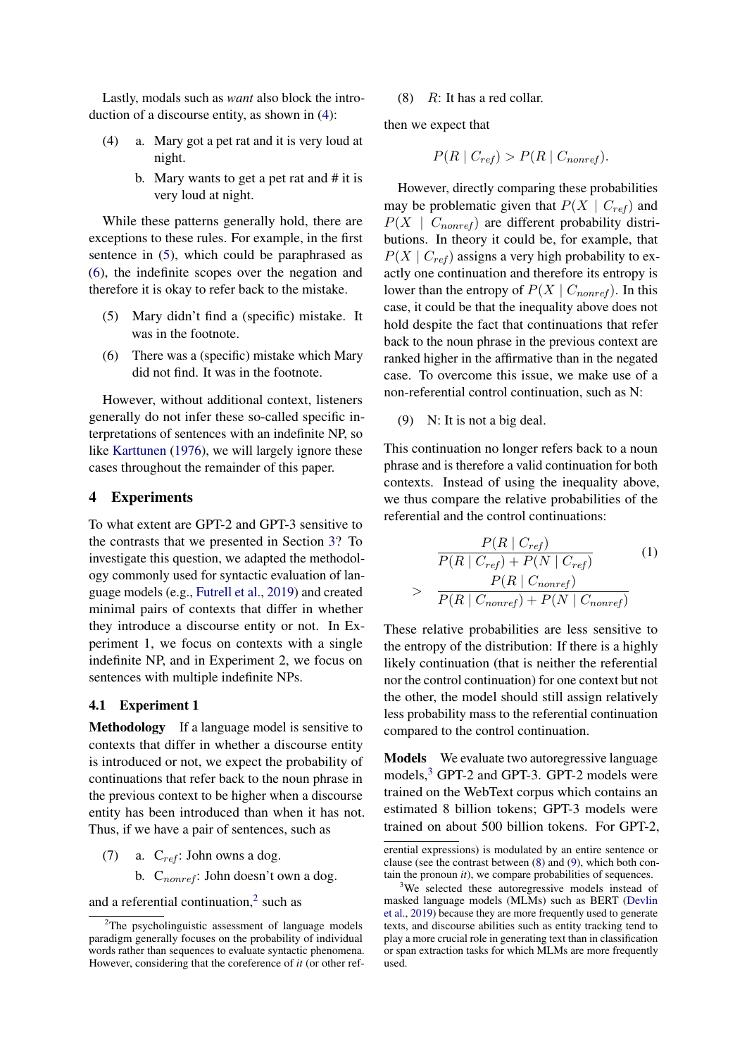Lastly, modals such as *want* also block the introduction of a discourse entity, as shown in [\(4\)](#page-2-0):

- <span id="page-2-0"></span>(4) a. Mary got a pet rat and it is very loud at night.
	- b. Mary wants to get a pet rat and # it is very loud at night.

While these patterns generally hold, there are exceptions to these rules. For example, in the first sentence in [\(5\)](#page-2-1), which could be paraphrased as [\(6\)](#page-2-2), the indefinite scopes over the negation and therefore it is okay to refer back to the mistake.

- <span id="page-2-1"></span>(5) Mary didn't find a (specific) mistake. It was in the footnote.
- <span id="page-2-2"></span>(6) There was a (specific) mistake which Mary did not find. It was in the footnote.

However, without additional context, listeners generally do not infer these so-called specific interpretations of sentences with an indefinite NP, so like [Karttunen](#page-10-2) [\(1976\)](#page-10-2), we will largely ignore these cases throughout the remainder of this paper.

### 4 Experiments

To what extent are GPT-2 and GPT-3 sensitive to the contrasts that we presented in Section [3?](#page-1-0) To investigate this question, we adapted the methodology commonly used for syntactic evaluation of language models (e.g., [Futrell et al.,](#page-10-3) [2019\)](#page-10-3) and created minimal pairs of contexts that differ in whether they introduce a discourse entity or not. In Experiment 1, we focus on contexts with a single indefinite NP, and in Experiment 2, we focus on sentences with multiple indefinite NPs.

### <span id="page-2-8"></span>4.1 Experiment 1

Methodology If a language model is sensitive to contexts that differ in whether a discourse entity is introduced or not, we expect the probability of continuations that refer back to the noun phrase in the previous context to be higher when a discourse entity has been introduced than when it has not. Thus, if we have a pair of sentences, such as

(7) a.  $C_{ref}$ : John owns a dog. b.  $C_{nonref}$ : John doesn't own a dog.

and a referential continuation, $2$  such as

### <span id="page-2-5"></span>(8)  $R$ : It has a red collar.

then we expect that

$$
P(R \mid C_{ref}) > P(R \mid C_{nonref}).
$$

However, directly comparing these probabilities may be problematic given that  $P(X \mid C_{ref})$  and  $P(X \mid C_{nonref})$  are different probability distributions. In theory it could be, for example, that  $P(X \mid C_{ref})$  assigns a very high probability to exactly one continuation and therefore its entropy is lower than the entropy of  $P(X \mid C_{nonref})$ . In this case, it could be that the inequality above does not hold despite the fact that continuations that refer back to the noun phrase in the previous context are ranked higher in the affirmative than in the negated case. To overcome this issue, we make use of a non-referential control continuation, such as N:

<span id="page-2-6"></span>(9) N: It is not a big deal.

This continuation no longer refers back to a noun phrase and is therefore a valid continuation for both contexts. Instead of using the inequality above, we thus compare the relative probabilities of the referential and the control continuations:

<span id="page-2-7"></span>
$$
\frac{P(R \mid C_{ref})}{P(R \mid C_{ref}) + P(N \mid C_{ref})}
$$
(1)  
> 
$$
\frac{P(R \mid C_{nonref})}{P(R \mid C_{nonref}) + P(N \mid C_{nonref})}
$$

These relative probabilities are less sensitive to the entropy of the distribution: If there is a highly likely continuation (that is neither the referential nor the control continuation) for one context but not the other, the model should still assign relatively less probability mass to the referential continuation compared to the control continuation.

Models We evaluate two autoregressive language models,<sup>[3](#page-2-4)</sup> GPT-2 and GPT-3. GPT-2 models were trained on the WebText corpus which contains an estimated 8 billion tokens; GPT-3 models were trained on about 500 billion tokens. For GPT-2,

<span id="page-2-3"></span> $2$ The psycholinguistic assessment of language models paradigm generally focuses on the probability of individual words rather than sequences to evaluate syntactic phenomena. However, considering that the coreference of *it* (or other ref-

erential expressions) is modulated by an entire sentence or clause (see the contrast between [\(8\)](#page-2-5) and [\(9\)](#page-2-6), which both contain the pronoun *it*), we compare probabilities of sequences.

<span id="page-2-4"></span><sup>&</sup>lt;sup>3</sup>We selected these autoregressive models instead of masked language models (MLMs) such as BERT [\(Devlin](#page-10-9) [et al.,](#page-10-9) [2019\)](#page-10-9) because they are more frequently used to generate texts, and discourse abilities such as entity tracking tend to play a more crucial role in generating text than in classification or span extraction tasks for which MLMs are more frequently used.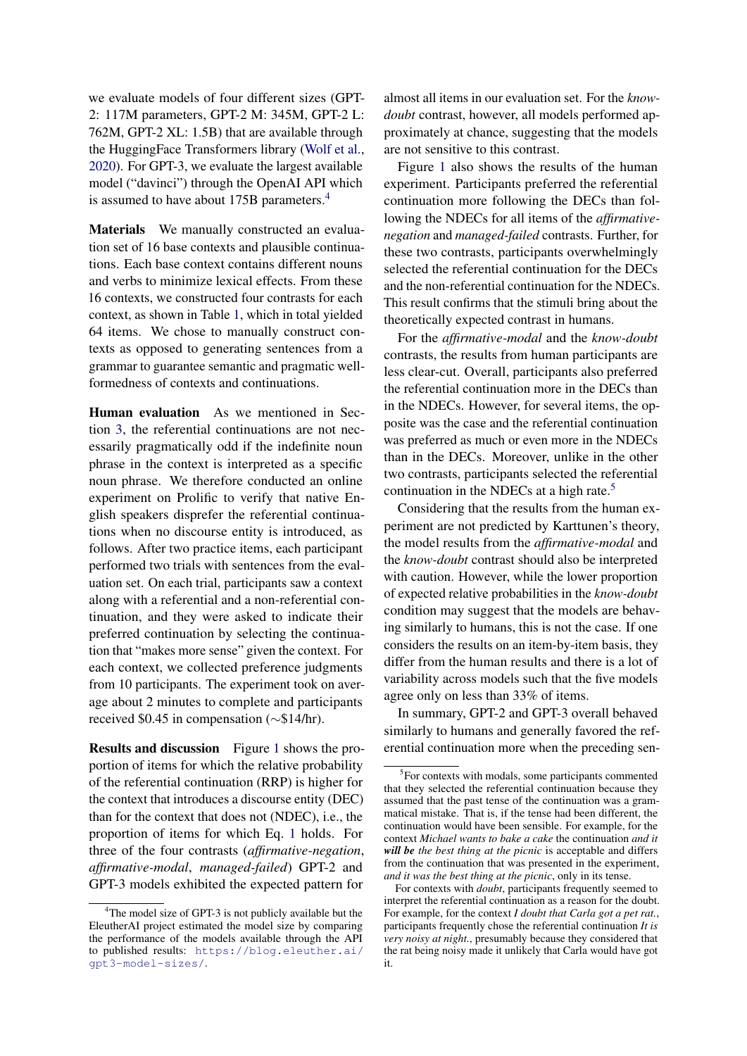we evaluate models of four different sizes (GPT-2: 117M parameters, GPT-2 M: 345M, GPT-2 L: 762M, GPT-2 XL: 1.5B) that are available through the HuggingFace Transformers library [\(Wolf et al.,](#page-11-12) [2020\)](#page-11-12). For GPT-3, we evaluate the largest available model ("davinci") through the OpenAI API which is assumed to have about 175B parameters.<sup>[4](#page-3-0)</sup>

Materials We manually constructed an evaluation set of 16 base contexts and plausible continuations. Each base context contains different nouns and verbs to minimize lexical effects. From these 16 contexts, we constructed four contrasts for each context, as shown in Table [1,](#page-4-0) which in total yielded 64 items. We chose to manually construct contexts as opposed to generating sentences from a grammar to guarantee semantic and pragmatic wellformedness of contexts and continuations.

Human evaluation As we mentioned in Section [3,](#page-1-0) the referential continuations are not necessarily pragmatically odd if the indefinite noun phrase in the context is interpreted as a specific noun phrase. We therefore conducted an online experiment on Prolific to verify that native English speakers disprefer the referential continuations when no discourse entity is introduced, as follows. After two practice items, each participant performed two trials with sentences from the evaluation set. On each trial, participants saw a context along with a referential and a non-referential continuation, and they were asked to indicate their preferred continuation by selecting the continuation that "makes more sense" given the context. For each context, we collected preference judgments from 10 participants. The experiment took on average about 2 minutes to complete and participants received \$0.45 in compensation (∼\$14/hr).

Results and discussion Figure [1](#page-4-1) shows the proportion of items for which the relative probability of the referential continuation (RRP) is higher for the context that introduces a discourse entity (DEC) than for the context that does not (NDEC), i.e., the proportion of items for which Eq. [1](#page-2-7) holds. For three of the four contrasts (*affirmative-negation*, *affirmative-modal*, *managed-failed*) GPT-2 and GPT-3 models exhibited the expected pattern for

<span id="page-3-0"></span><sup>4</sup>The model size of GPT-3 is not publicly available but the EleutherAI project estimated the model size by comparing the performance of the models available through the API to published results: [https://blog.eleuther.ai/](https://blog.eleuther.ai/gpt3-model-sizes/) [gpt3-model-sizes/](https://blog.eleuther.ai/gpt3-model-sizes/).

almost all items in our evaluation set. For the *knowdoubt* contrast, however, all models performed approximately at chance, suggesting that the models are not sensitive to this contrast.

Figure [1](#page-4-1) also shows the results of the human experiment. Participants preferred the referential continuation more following the DECs than following the NDECs for all items of the *affirmativenegation* and *managed-failed* contrasts. Further, for these two contrasts, participants overwhelmingly selected the referential continuation for the DECs and the non-referential continuation for the NDECs. This result confirms that the stimuli bring about the theoretically expected contrast in humans.

For the *affirmative-modal* and the *know-doubt* contrasts, the results from human participants are less clear-cut. Overall, participants also preferred the referential continuation more in the DECs than in the NDECs. However, for several items, the opposite was the case and the referential continuation was preferred as much or even more in the NDECs than in the DECs. Moreover, unlike in the other two contrasts, participants selected the referential continuation in the NDECs at a high rate.<sup>[5](#page-3-1)</sup>

Considering that the results from the human experiment are not predicted by Karttunen's theory, the model results from the *affirmative-modal* and the *know-doubt* contrast should also be interpreted with caution. However, while the lower proportion of expected relative probabilities in the *know-doubt* condition may suggest that the models are behaving similarly to humans, this is not the case. If one considers the results on an item-by-item basis, they differ from the human results and there is a lot of variability across models such that the five models agree only on less than 33% of items.

In summary, GPT-2 and GPT-3 overall behaved similarly to humans and generally favored the referential continuation more when the preceding sen-

<span id="page-3-1"></span><sup>&</sup>lt;sup>5</sup>For contexts with modals, some participants commented that they selected the referential continuation because they assumed that the past tense of the continuation was a grammatical mistake. That is, if the tense had been different, the continuation would have been sensible. For example, for the context *Michael wants to bake a cake* the continuation *and it will be the best thing at the picnic* is acceptable and differs from the continuation that was presented in the experiment, *and it was the best thing at the picnic*, only in its tense.

For contexts with *doubt*, participants frequently seemed to interpret the referential continuation as a reason for the doubt. For example, for the context *I doubt that Carla got a pet rat.*, participants frequently chose the referential continuation *It is very noisy at night.*, presumably because they considered that the rat being noisy made it unlikely that Carla would have got it.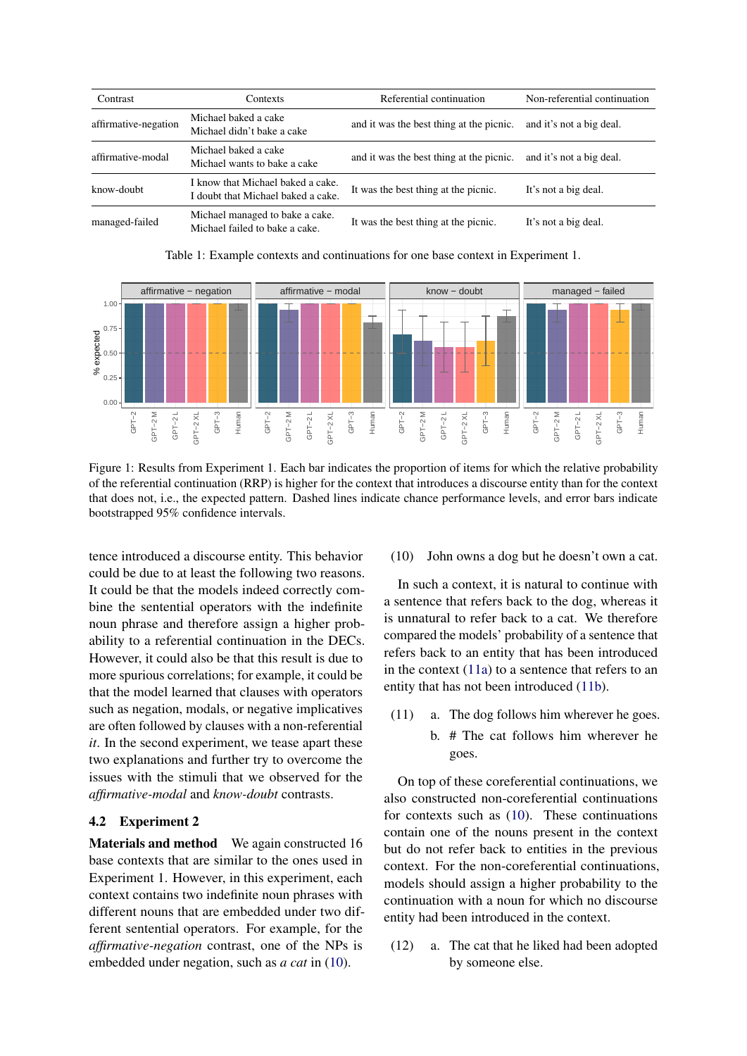<span id="page-4-0"></span>

| Contrast             | Contexts                                                                | Referential continuation                 | Non-referential continuation |
|----------------------|-------------------------------------------------------------------------|------------------------------------------|------------------------------|
| affirmative-negation | Michael baked a cake<br>Michael didn't bake a cake                      | and it was the best thing at the picnic. | and it's not a big deal.     |
| affirmative-modal    | Michael baked a cake<br>Michael wants to bake a cake                    | and it was the best thing at the picnic. | and it's not a big deal.     |
| know-doubt           | I know that Michael baked a cake.<br>I doubt that Michael baked a cake. | It was the best thing at the picnic.     | It's not a big deal.         |
| managed-failed       | Michael managed to bake a cake.<br>Michael failed to bake a cake.       | It was the best thing at the picnic.     | It's not a big deal.         |

Table 1: Example contexts and continuations for one base context in Experiment 1.

<span id="page-4-1"></span>

Figure 1: Results from Experiment 1. Each bar indicates the proportion of items for which the relative probability of the referential continuation (RRP) is higher for the context that introduces a discourse entity than for the context that does not, i.e., the expected pattern. Dashed lines indicate chance performance levels, and error bars indicate bootstrapped 95% confidence intervals.

tence introduced a discourse entity. This behavior could be due to at least the following two reasons. It could be that the models indeed correctly combine the sentential operators with the indefinite noun phrase and therefore assign a higher probability to a referential continuation in the DECs. However, it could also be that this result is due to more spurious correlations; for example, it could be that the model learned that clauses with operators such as negation, modals, or negative implicatives are often followed by clauses with a non-referential *it*. In the second experiment, we tease apart these two explanations and further try to overcome the issues with the stimuli that we observed for the *affirmative-modal* and *know-doubt* contrasts.

### 4.2 Experiment 2

Materials and method We again constructed 16 base contexts that are similar to the ones used in Experiment 1. However, in this experiment, each context contains two indefinite noun phrases with different nouns that are embedded under two different sentential operators. For example, for the *affirmative-negation* contrast, one of the NPs is embedded under negation, such as *a cat* in [\(10\)](#page-4-2).

### <span id="page-4-2"></span>(10) John owns a dog but he doesn't own a cat.

In such a context, it is natural to continue with a sentence that refers back to the dog, whereas it is unnatural to refer back to a cat. We therefore compared the models' probability of a sentence that refers back to an entity that has been introduced in the context [\(11a\)](#page-4-3) to a sentence that refers to an entity that has not been introduced [\(11b\)](#page-4-4).

- <span id="page-4-4"></span><span id="page-4-3"></span>(11) a. The dog follows him wherever he goes.
	- b. # The cat follows him wherever he goes.

On top of these coreferential continuations, we also constructed non-coreferential continuations for contexts such as [\(10\)](#page-4-2). These continuations contain one of the nouns present in the context but do not refer back to entities in the previous context. For the non-coreferential continuations, models should assign a higher probability to the continuation with a noun for which no discourse entity had been introduced in the context.

(12) a. The cat that he liked had been adopted by someone else.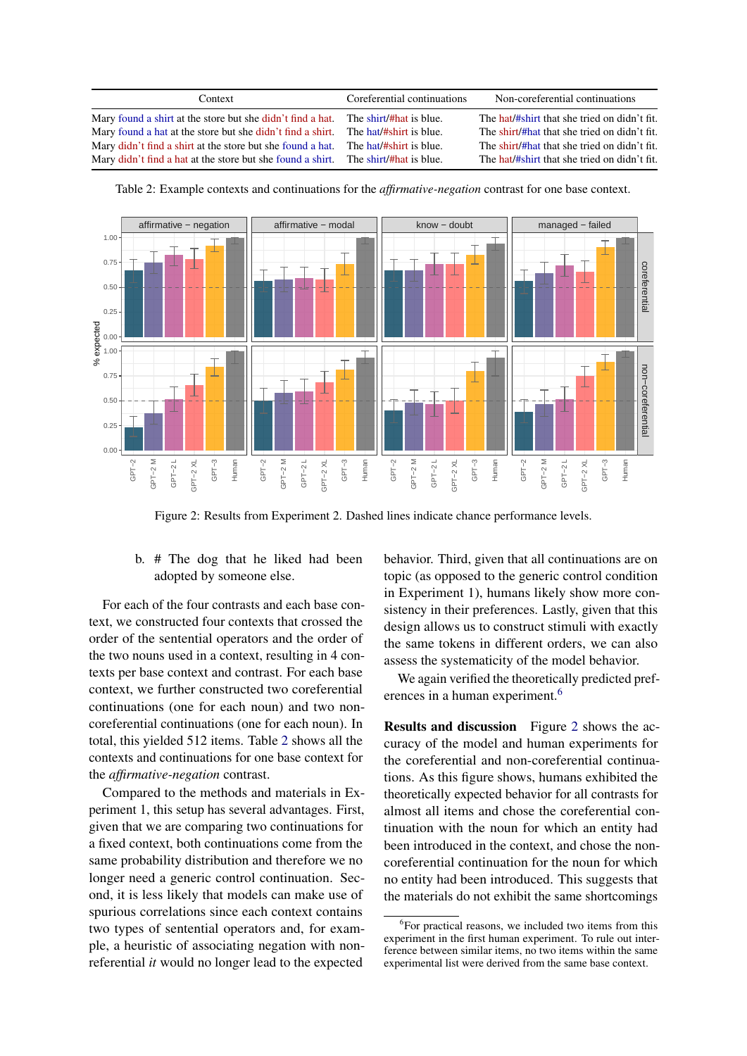<span id="page-5-0"></span>

| Context                                                                            | Coreferential continuations | Non-coreferential continuations              |
|------------------------------------------------------------------------------------|-----------------------------|----------------------------------------------|
| Mary found a shirt at the store but she didn't find a hat. The shirt/#hat is blue. |                             | The hat/#shirt that she tried on didn't fit. |
| Mary found a hat at the store but she didn't find a shirt. The hat/#shirt is blue. |                             | The shirt/#hat that she tried on didn't fit. |
| Mary didn't find a shirt at the store but she found a hat. The hat/#shirt is blue. |                             | The shirt/#hat that she tried on didn't fit. |
| Mary didn't find a hat at the store but she found a shirt. The shirt/#hat is blue. |                             | The hat/#shirt that she tried on didn't fit. |

<span id="page-5-2"></span>

Table 2: Example contexts and continuations for the *affirmative-negation* contrast for one base context.

Figure 2: Results from Experiment 2. Dashed lines indicate chance performance levels.

### b. # The dog that he liked had been adopted by someone else.

For each of the four contrasts and each base context, we constructed four contexts that crossed the order of the sentential operators and the order of the two nouns used in a context, resulting in 4 contexts per base context and contrast. For each base context, we further constructed two coreferential continuations (one for each noun) and two noncoreferential continuations (one for each noun). In total, this yielded 512 items. Table [2](#page-5-0) shows all the contexts and continuations for one base context for the *affirmative-negation* contrast.

Compared to the methods and materials in Experiment 1, this setup has several advantages. First, given that we are comparing two continuations for a fixed context, both continuations come from the same probability distribution and therefore we no longer need a generic control continuation. Second, it is less likely that models can make use of spurious correlations since each context contains two types of sentential operators and, for example, a heuristic of associating negation with nonreferential *it* would no longer lead to the expected behavior. Third, given that all continuations are on topic (as opposed to the generic control condition in Experiment 1), humans likely show more consistency in their preferences. Lastly, given that this design allows us to construct stimuli with exactly the same tokens in different orders, we can also assess the systematicity of the model behavior.

We again verified the theoretically predicted pref-erences in a human experiment.<sup>[6](#page-5-1)</sup>

Results and discussion Figure [2](#page-5-2) shows the accuracy of the model and human experiments for the coreferential and non-coreferential continuations. As this figure shows, humans exhibited the theoretically expected behavior for all contrasts for almost all items and chose the coreferential continuation with the noun for which an entity had been introduced in the context, and chose the noncoreferential continuation for the noun for which no entity had been introduced. This suggests that the materials do not exhibit the same shortcomings

<span id="page-5-1"></span><sup>6</sup> For practical reasons, we included two items from this experiment in the first human experiment. To rule out interference between similar items, no two items within the same experimental list were derived from the same base context.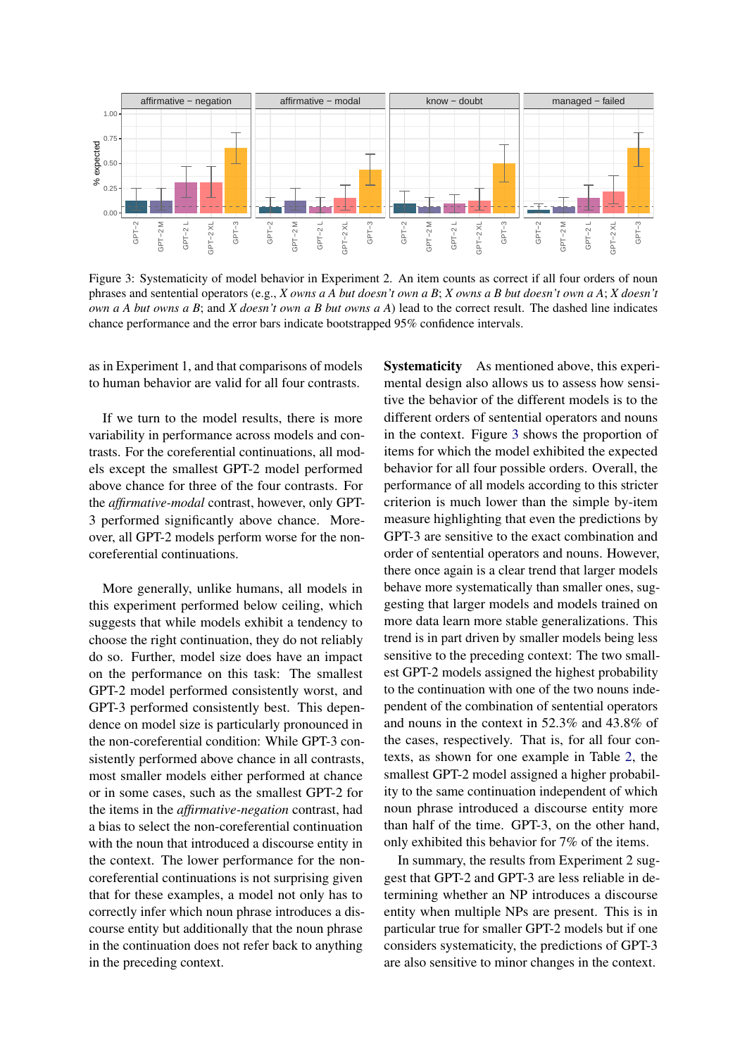<span id="page-6-0"></span>

Figure 3: Systematicity of model behavior in Experiment 2. An item counts as correct if all four orders of noun phrases and sentential operators (e.g., *X owns a A but doesn't own a B*; *X owns a B but doesn't own a A*; *X doesn't own a A but owns a B*; and *X doesn't own a B but owns a A*) lead to the correct result. The dashed line indicates chance performance and the error bars indicate bootstrapped 95% confidence intervals.

as in Experiment 1, and that comparisons of models to human behavior are valid for all four contrasts.

If we turn to the model results, there is more variability in performance across models and contrasts. For the coreferential continuations, all models except the smallest GPT-2 model performed above chance for three of the four contrasts. For the *affirmative-modal* contrast, however, only GPT-3 performed significantly above chance. Moreover, all GPT-2 models perform worse for the noncoreferential continuations.

More generally, unlike humans, all models in this experiment performed below ceiling, which suggests that while models exhibit a tendency to choose the right continuation, they do not reliably do so. Further, model size does have an impact on the performance on this task: The smallest GPT-2 model performed consistently worst, and GPT-3 performed consistently best. This dependence on model size is particularly pronounced in the non-coreferential condition: While GPT-3 consistently performed above chance in all contrasts, most smaller models either performed at chance or in some cases, such as the smallest GPT-2 for the items in the *affirmative-negation* contrast, had a bias to select the non-coreferential continuation with the noun that introduced a discourse entity in the context. The lower performance for the noncoreferential continuations is not surprising given that for these examples, a model not only has to correctly infer which noun phrase introduces a discourse entity but additionally that the noun phrase in the continuation does not refer back to anything in the preceding context.

Systematicity As mentioned above, this experimental design also allows us to assess how sensitive the behavior of the different models is to the different orders of sentential operators and nouns in the context. Figure [3](#page-6-0) shows the proportion of items for which the model exhibited the expected behavior for all four possible orders. Overall, the performance of all models according to this stricter criterion is much lower than the simple by-item measure highlighting that even the predictions by GPT-3 are sensitive to the exact combination and order of sentential operators and nouns. However, there once again is a clear trend that larger models behave more systematically than smaller ones, suggesting that larger models and models trained on more data learn more stable generalizations. This trend is in part driven by smaller models being less sensitive to the preceding context: The two smallest GPT-2 models assigned the highest probability to the continuation with one of the two nouns independent of the combination of sentential operators and nouns in the context in 52.3% and 43.8% of the cases, respectively. That is, for all four contexts, as shown for one example in Table [2,](#page-5-0) the smallest GPT-2 model assigned a higher probability to the same continuation independent of which noun phrase introduced a discourse entity more than half of the time. GPT-3, on the other hand, only exhibited this behavior for 7% of the items.

In summary, the results from Experiment 2 suggest that GPT-2 and GPT-3 are less reliable in determining whether an NP introduces a discourse entity when multiple NPs are present. This is in particular true for smaller GPT-2 models but if one considers systematicity, the predictions of GPT-3 are also sensitive to minor changes in the context.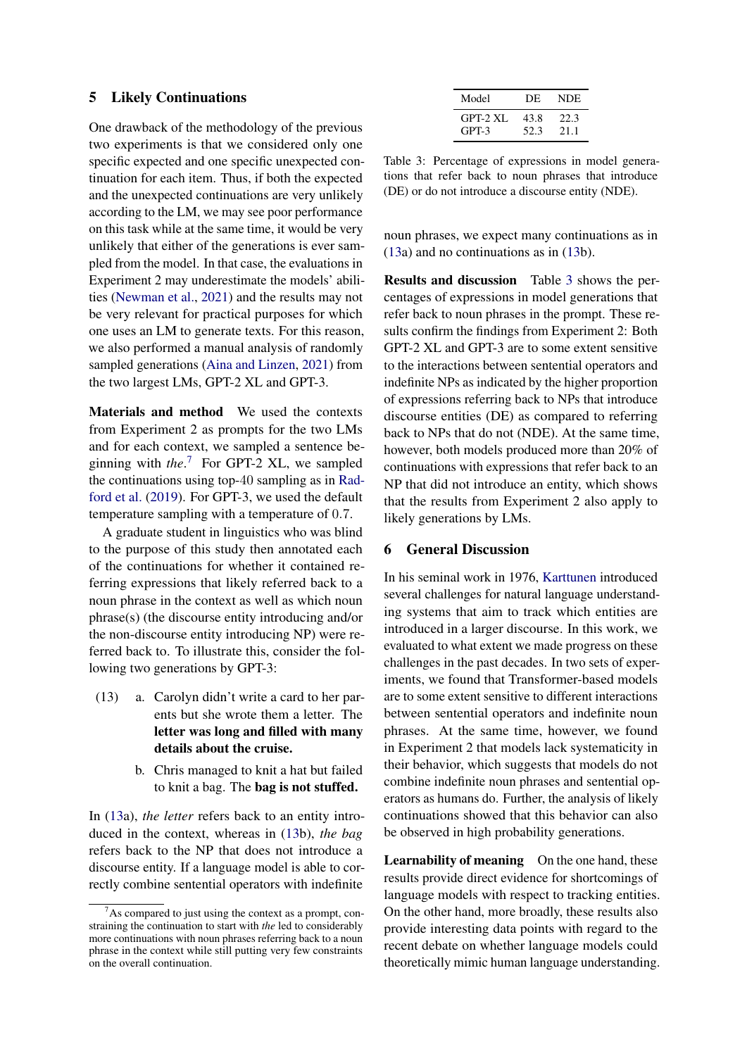### 5 Likely Continuations

One drawback of the methodology of the previous two experiments is that we considered only one specific expected and one specific unexpected continuation for each item. Thus, if both the expected and the unexpected continuations are very unlikely according to the LM, we may see poor performance on this task while at the same time, it would be very unlikely that either of the generations is ever sampled from the model. In that case, the evaluations in Experiment 2 may underestimate the models' abilities [\(Newman et al.,](#page-11-13) [2021\)](#page-11-13) and the results may not be very relevant for practical purposes for which one uses an LM to generate texts. For this reason, we also performed a manual analysis of randomly sampled generations [\(Aina and Linzen,](#page-9-3) [2021\)](#page-9-3) from the two largest LMs, GPT-2 XL and GPT-3.

Materials and method We used the contexts from Experiment 2 as prompts for the two LMs and for each context, we sampled a sentence beginning with *the*. [7](#page-7-0) For GPT-2 XL, we sampled the continuations using top-40 sampling as in [Rad](#page-11-1)[ford et al.](#page-11-1) [\(2019\)](#page-11-1). For GPT-3, we used the default temperature sampling with a temperature of 0.7.

A graduate student in linguistics who was blind to the purpose of this study then annotated each of the continuations for whether it contained referring expressions that likely referred back to a noun phrase in the context as well as which noun phrase(s) (the discourse entity introducing and/or the non-discourse entity introducing NP) were referred back to. To illustrate this, consider the following two generations by GPT-3:

- <span id="page-7-1"></span>(13) a. Carolyn didn't write a card to her parents but she wrote them a letter. The letter was long and filled with many details about the cruise.
	- b. Chris managed to knit a hat but failed to knit a bag. The bag is not stuffed.

In [\(13a](#page-7-1)), *the letter* refers back to an entity introduced in the context, whereas in [\(13b](#page-7-1)), *the bag* refers back to the NP that does not introduce a discourse entity. If a language model is able to correctly combine sentential operators with indefinite

<span id="page-7-2"></span>

| Model             | DE.          | NDE.         |
|-------------------|--------------|--------------|
| GPT-2 XL<br>GPT-3 | 43.8<br>52.3 | 22.3<br>21.1 |

Table 3: Percentage of expressions in model generations that refer back to noun phrases that introduce (DE) or do not introduce a discourse entity (NDE).

noun phrases, we expect many continuations as in [\(13a](#page-7-1)) and no continuations as in [\(13b](#page-7-1)).

Results and discussion Table [3](#page-7-2) shows the percentages of expressions in model generations that refer back to noun phrases in the prompt. These results confirm the findings from Experiment 2: Both GPT-2 XL and GPT-3 are to some extent sensitive to the interactions between sentential operators and indefinite NPs as indicated by the higher proportion of expressions referring back to NPs that introduce discourse entities (DE) as compared to referring back to NPs that do not (NDE). At the same time, however, both models produced more than 20% of continuations with expressions that refer back to an NP that did not introduce an entity, which shows that the results from Experiment 2 also apply to likely generations by LMs.

### 6 General Discussion

In his seminal work in 1976, [Karttunen](#page-10-2) introduced several challenges for natural language understanding systems that aim to track which entities are introduced in a larger discourse. In this work, we evaluated to what extent we made progress on these challenges in the past decades. In two sets of experiments, we found that Transformer-based models are to some extent sensitive to different interactions between sentential operators and indefinite noun phrases. At the same time, however, we found in Experiment 2 that models lack systematicity in their behavior, which suggests that models do not combine indefinite noun phrases and sentential operators as humans do. Further, the analysis of likely continuations showed that this behavior can also be observed in high probability generations.

Learnability of meaning On the one hand, these results provide direct evidence for shortcomings of language models with respect to tracking entities. On the other hand, more broadly, these results also provide interesting data points with regard to the recent debate on whether language models could theoretically mimic human language understanding.

<span id="page-7-0"></span>As compared to just using the context as a prompt, constraining the continuation to start with *the* led to considerably more continuations with noun phrases referring back to a noun phrase in the context while still putting very few constraints on the overall continuation.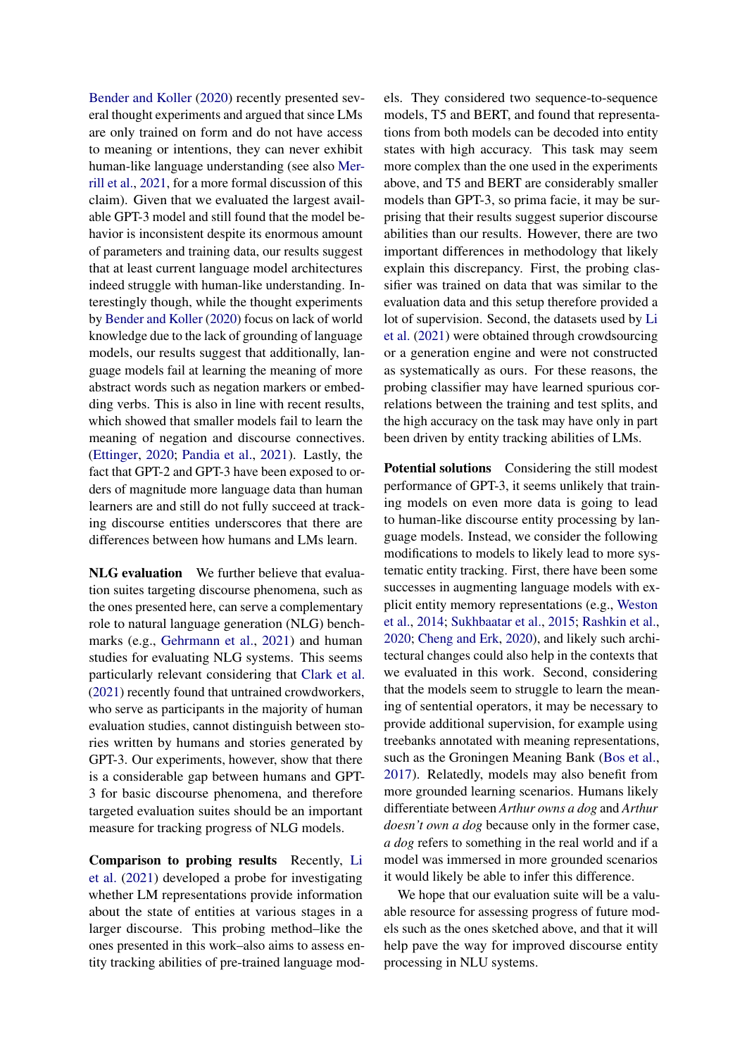[Bender and Koller](#page-9-4) [\(2020\)](#page-9-4) recently presented several thought experiments and argued that since LMs are only trained on form and do not have access to meaning or intentions, they can never exhibit human-like language understanding (see also [Mer](#page-11-14)[rill et al.,](#page-11-14) [2021,](#page-11-14) for a more formal discussion of this claim). Given that we evaluated the largest available GPT-3 model and still found that the model behavior is inconsistent despite its enormous amount of parameters and training data, our results suggest that at least current language model architectures indeed struggle with human-like understanding. Interestingly though, while the thought experiments by [Bender and Koller](#page-9-4) [\(2020\)](#page-9-4) focus on lack of world knowledge due to the lack of grounding of language models, our results suggest that additionally, language models fail at learning the meaning of more abstract words such as negation markers or embedding verbs. This is also in line with recent results, which showed that smaller models fail to learn the meaning of negation and discourse connectives. [\(Ettinger,](#page-10-8) [2020;](#page-10-8) [Pandia et al.,](#page-11-7) [2021\)](#page-11-7). Lastly, the fact that GPT-2 and GPT-3 have been exposed to orders of magnitude more language data than human learners are and still do not fully succeed at tracking discourse entities underscores that there are differences between how humans and LMs learn.

NLG evaluation We further believe that evaluation suites targeting discourse phenomena, such as the ones presented here, can serve a complementary role to natural language generation (NLG) benchmarks (e.g., [Gehrmann et al.,](#page-10-12) [2021\)](#page-10-12) and human studies for evaluating NLG systems. This seems particularly relevant considering that [Clark et al.](#page-9-5) [\(2021\)](#page-9-5) recently found that untrained crowdworkers, who serve as participants in the majority of human evaluation studies, cannot distinguish between stories written by humans and stories generated by GPT-3. Our experiments, however, show that there is a considerable gap between humans and GPT-3 for basic discourse phenomena, and therefore targeted evaluation suites should be an important measure for tracking progress of NLG models.

Comparison to probing results Recently, [Li](#page-10-13) [et al.](#page-10-13) [\(2021\)](#page-10-13) developed a probe for investigating whether LM representations provide information about the state of entities at various stages in a larger discourse. This probing method–like the ones presented in this work–also aims to assess entity tracking abilities of pre-trained language models. They considered two sequence-to-sequence models, T5 and BERT, and found that representations from both models can be decoded into entity states with high accuracy. This task may seem more complex than the one used in the experiments above, and T5 and BERT are considerably smaller models than GPT-3, so prima facie, it may be surprising that their results suggest superior discourse abilities than our results. However, there are two important differences in methodology that likely explain this discrepancy. First, the probing classifier was trained on data that was similar to the evaluation data and this setup therefore provided a lot of supervision. Second, the datasets used by [Li](#page-10-13) [et al.](#page-10-13) [\(2021\)](#page-10-13) were obtained through crowdsourcing or a generation engine and were not constructed as systematically as ours. For these reasons, the probing classifier may have learned spurious correlations between the training and test splits, and the high accuracy on the task may have only in part been driven by entity tracking abilities of LMs.

Potential solutions Considering the still modest performance of GPT-3, it seems unlikely that training models on even more data is going to lead to human-like discourse entity processing by language models. Instead, we consider the following modifications to models to likely lead to more systematic entity tracking. First, there have been some successes in augmenting language models with explicit entity memory representations (e.g., [Weston](#page-11-15) [et al.,](#page-11-15) [2014;](#page-11-15) [Sukhbaatar et al.,](#page-11-16) [2015;](#page-11-16) [Rashkin et al.,](#page-11-17) [2020;](#page-11-17) [Cheng and Erk,](#page-9-6) [2020\)](#page-9-6), and likely such architectural changes could also help in the contexts that we evaluated in this work. Second, considering that the models seem to struggle to learn the meaning of sentential operators, it may be necessary to provide additional supervision, for example using treebanks annotated with meaning representations, such as the Groningen Meaning Bank [\(Bos et al.,](#page-9-7) [2017\)](#page-9-7). Relatedly, models may also benefit from more grounded learning scenarios. Humans likely differentiate between *Arthur owns a dog* and *Arthur doesn't own a dog* because only in the former case, *a dog* refers to something in the real world and if a model was immersed in more grounded scenarios it would likely be able to infer this difference.

We hope that our evaluation suite will be a valuable resource for assessing progress of future models such as the ones sketched above, and that it will help pave the way for improved discourse entity processing in NLU systems.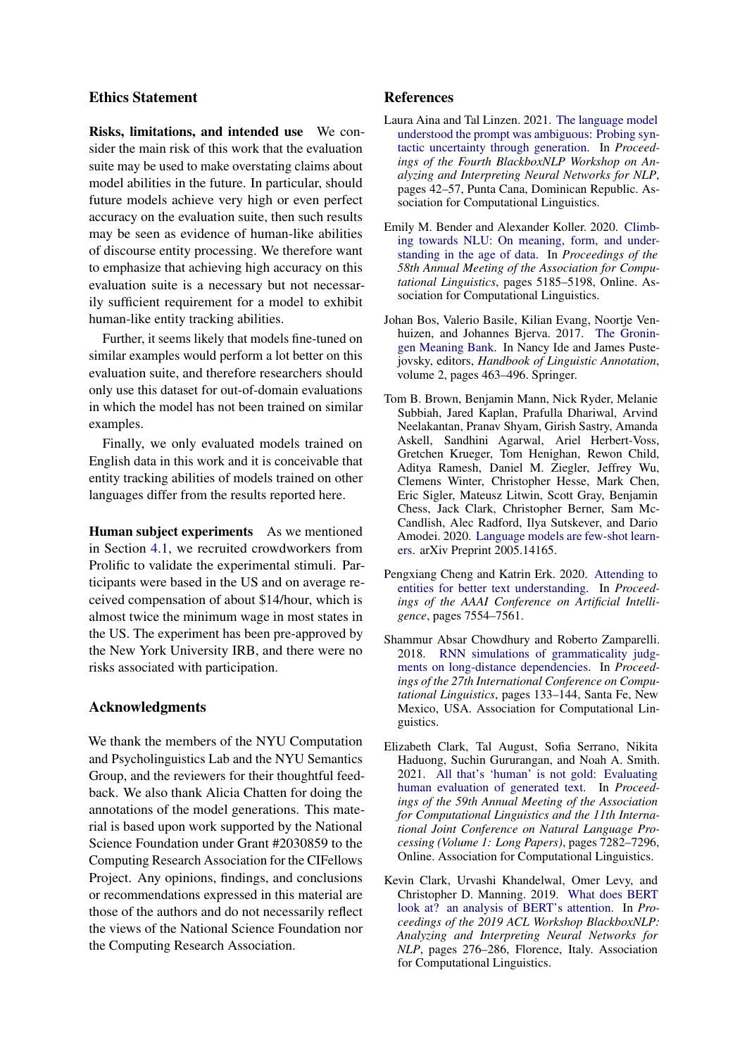### Ethics Statement

Risks, limitations, and intended use We consider the main risk of this work that the evaluation suite may be used to make overstating claims about model abilities in the future. In particular, should future models achieve very high or even perfect accuracy on the evaluation suite, then such results may be seen as evidence of human-like abilities of discourse entity processing. We therefore want to emphasize that achieving high accuracy on this evaluation suite is a necessary but not necessarily sufficient requirement for a model to exhibit human-like entity tracking abilities.

Further, it seems likely that models fine-tuned on similar examples would perform a lot better on this evaluation suite, and therefore researchers should only use this dataset for out-of-domain evaluations in which the model has not been trained on similar examples.

Finally, we only evaluated models trained on English data in this work and it is conceivable that entity tracking abilities of models trained on other languages differ from the results reported here.

Human subject experiments As we mentioned in Section [4.1,](#page-2-8) we recruited crowdworkers from Prolific to validate the experimental stimuli. Participants were based in the US and on average received compensation of about \$14/hour, which is almost twice the minimum wage in most states in the US. The experiment has been pre-approved by the New York University IRB, and there were no risks associated with participation.

### Acknowledgments

We thank the members of the NYU Computation and Psycholinguistics Lab and the NYU Semantics Group, and the reviewers for their thoughtful feedback. We also thank Alicia Chatten for doing the annotations of the model generations. This material is based upon work supported by the National Science Foundation under Grant #2030859 to the Computing Research Association for the CIFellows Project. Any opinions, findings, and conclusions or recommendations expressed in this material are those of the authors and do not necessarily reflect the views of the National Science Foundation nor the Computing Research Association.

### References

- <span id="page-9-3"></span>Laura Aina and Tal Linzen. 2021. [The language model](https://doi.org/10.18653/v1/2021.blackboxnlp-1.4) [understood the prompt was ambiguous: Probing syn](https://doi.org/10.18653/v1/2021.blackboxnlp-1.4)[tactic uncertainty through generation.](https://doi.org/10.18653/v1/2021.blackboxnlp-1.4) In *Proceedings of the Fourth BlackboxNLP Workshop on Analyzing and Interpreting Neural Networks for NLP*, pages 42–57, Punta Cana, Dominican Republic. Association for Computational Linguistics.
- <span id="page-9-4"></span>Emily M. Bender and Alexander Koller. 2020. [Climb](https://doi.org/10.18653/v1/2020.acl-main.463)[ing towards NLU: On meaning, form, and under](https://doi.org/10.18653/v1/2020.acl-main.463)[standing in the age of data.](https://doi.org/10.18653/v1/2020.acl-main.463) In *Proceedings of the 58th Annual Meeting of the Association for Computational Linguistics*, pages 5185–5198, Online. Association for Computational Linguistics.
- <span id="page-9-7"></span>Johan Bos, Valerio Basile, Kilian Evang, Noortje Venhuizen, and Johannes Bjerva. 2017. [The Gronin](https://doi.org/10.1007/978-94-024-0881-2_18)[gen Meaning Bank.](https://doi.org/10.1007/978-94-024-0881-2_18) In Nancy Ide and James Pustejovsky, editors, *Handbook of Linguistic Annotation*, volume 2, pages 463–496. Springer.
- <span id="page-9-0"></span>Tom B. Brown, Benjamin Mann, Nick Ryder, Melanie Subbiah, Jared Kaplan, Prafulla Dhariwal, Arvind Neelakantan, Pranav Shyam, Girish Sastry, Amanda Askell, Sandhini Agarwal, Ariel Herbert-Voss, Gretchen Krueger, Tom Henighan, Rewon Child, Aditya Ramesh, Daniel M. Ziegler, Jeffrey Wu, Clemens Winter, Christopher Hesse, Mark Chen, Eric Sigler, Mateusz Litwin, Scott Gray, Benjamin Chess, Jack Clark, Christopher Berner, Sam Mc-Candlish, Alec Radford, Ilya Sutskever, and Dario Amodei. 2020. [Language models are few-shot learn](http://arxiv.org/abs/2005.14165)[ers.](http://arxiv.org/abs/2005.14165) arXiv Preprint 2005.14165.
- <span id="page-9-6"></span>Pengxiang Cheng and Katrin Erk. 2020. [Attending to](https://doi.org/10.1609/aaai.v34i05.6254) [entities for better text understanding.](https://doi.org/10.1609/aaai.v34i05.6254) In *Proceedings of the AAAI Conference on Artificial Intelligence*, pages 7554–7561.
- <span id="page-9-1"></span>Shammur Absar Chowdhury and Roberto Zamparelli. 2018. [RNN simulations of grammaticality judg](https://aclanthology.org/C18-1012)[ments on long-distance dependencies.](https://aclanthology.org/C18-1012) In *Proceedings of the 27th International Conference on Computational Linguistics*, pages 133–144, Santa Fe, New Mexico, USA. Association for Computational Linguistics.
- <span id="page-9-5"></span>Elizabeth Clark, Tal August, Sofia Serrano, Nikita Haduong, Suchin Gururangan, and Noah A. Smith. 2021. [All that's 'human' is not gold: Evaluating](https://doi.org/10.18653/v1/2021.acl-long.565) [human evaluation of generated text.](https://doi.org/10.18653/v1/2021.acl-long.565) In *Proceedings of the 59th Annual Meeting of the Association for Computational Linguistics and the 11th International Joint Conference on Natural Language Processing (Volume 1: Long Papers)*, pages 7282–7296, Online. Association for Computational Linguistics.
- <span id="page-9-2"></span>Kevin Clark, Urvashi Khandelwal, Omer Levy, and Christopher D. Manning. 2019. [What does BERT](https://doi.org/10.18653/v1/W19-4828) [look at? an analysis of BERT's attention.](https://doi.org/10.18653/v1/W19-4828) In *Proceedings of the 2019 ACL Workshop BlackboxNLP: Analyzing and Interpreting Neural Networks for NLP*, pages 276–286, Florence, Italy. Association for Computational Linguistics.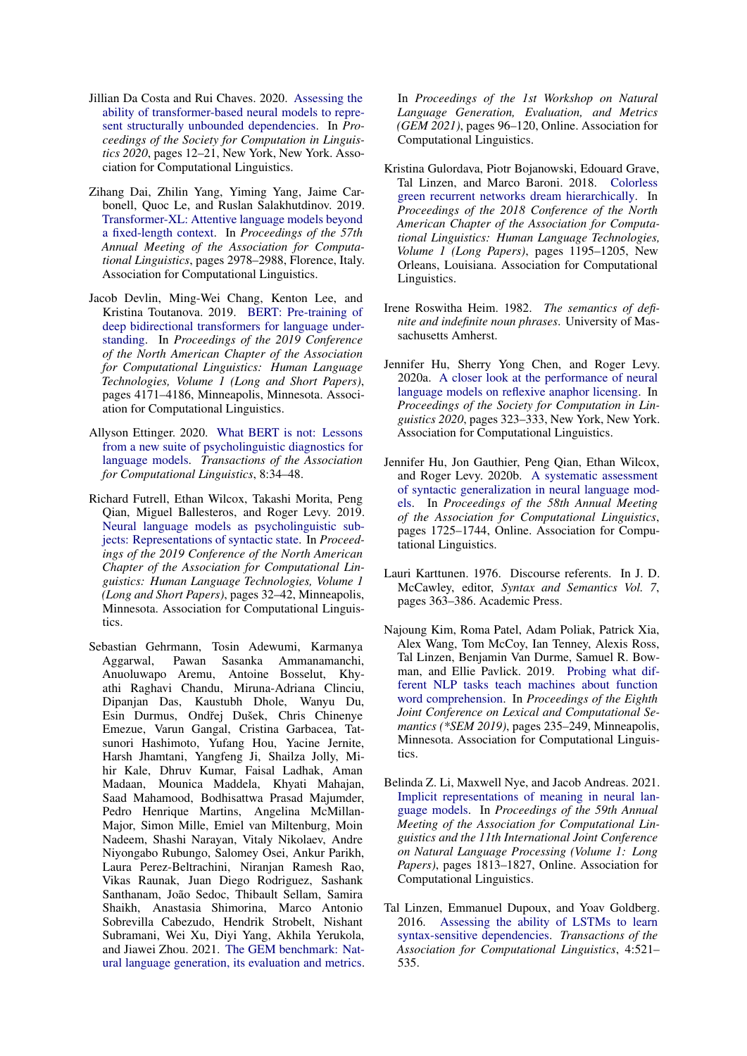- <span id="page-10-7"></span>Jillian Da Costa and Rui Chaves. 2020. [Assessing the](https://aclanthology.org/2020.scil-1.2) [ability of transformer-based neural models to repre](https://aclanthology.org/2020.scil-1.2)[sent structurally unbounded dependencies.](https://aclanthology.org/2020.scil-1.2) In *Proceedings of the Society for Computation in Linguistics 2020*, pages 12–21, New York, New York. Association for Computational Linguistics.
- <span id="page-10-10"></span>Zihang Dai, Zhilin Yang, Yiming Yang, Jaime Carbonell, Quoc Le, and Ruslan Salakhutdinov. 2019. [Transformer-XL: Attentive language models beyond](https://doi.org/10.18653/v1/P19-1285) [a fixed-length context.](https://doi.org/10.18653/v1/P19-1285) In *Proceedings of the 57th Annual Meeting of the Association for Computational Linguistics*, pages 2978–2988, Florence, Italy. Association for Computational Linguistics.
- <span id="page-10-9"></span>Jacob Devlin, Ming-Wei Chang, Kenton Lee, and Kristina Toutanova. 2019. [BERT: Pre-training of](https://doi.org/10.18653/v1/N19-1423) [deep bidirectional transformers for language under](https://doi.org/10.18653/v1/N19-1423)[standing.](https://doi.org/10.18653/v1/N19-1423) In *Proceedings of the 2019 Conference of the North American Chapter of the Association for Computational Linguistics: Human Language Technologies, Volume 1 (Long and Short Papers)*, pages 4171–4186, Minneapolis, Minnesota. Association for Computational Linguistics.
- <span id="page-10-8"></span>Allyson Ettinger. 2020. [What BERT is not: Lessons](https://doi.org/10.1162/tacl_a_00298) [from a new suite of psycholinguistic diagnostics for](https://doi.org/10.1162/tacl_a_00298) [language models.](https://doi.org/10.1162/tacl_a_00298) *Transactions of the Association for Computational Linguistics*, 8:34–48.
- <span id="page-10-3"></span>Richard Futrell, Ethan Wilcox, Takashi Morita, Peng Qian, Miguel Ballesteros, and Roger Levy. 2019. [Neural language models as psycholinguistic sub](https://doi.org/10.18653/v1/N19-1004)[jects: Representations of syntactic state.](https://doi.org/10.18653/v1/N19-1004) In *Proceedings of the 2019 Conference of the North American Chapter of the Association for Computational Linguistics: Human Language Technologies, Volume 1 (Long and Short Papers)*, pages 32–42, Minneapolis, Minnesota. Association for Computational Linguistics.
- <span id="page-10-12"></span>Sebastian Gehrmann, Tosin Adewumi, Karmanya Aggarwal, Pawan Sasanka Ammanamanchi, Anuoluwapo Aremu, Antoine Bosselut, Khyathi Raghavi Chandu, Miruna-Adriana Clinciu, Dipanjan Das, Kaustubh Dhole, Wanyu Du, Esin Durmus, Ondřej Dušek, Chris Chinenye Emezue, Varun Gangal, Cristina Garbacea, Tatsunori Hashimoto, Yufang Hou, Yacine Jernite, Harsh Jhamtani, Yangfeng Ji, Shailza Jolly, Mihir Kale, Dhruv Kumar, Faisal Ladhak, Aman Madaan, Mounica Maddela, Khyati Mahajan, Saad Mahamood, Bodhisattwa Prasad Majumder, Pedro Henrique Martins, Angelina McMillan-Major, Simon Mille, Emiel van Miltenburg, Moin Nadeem, Shashi Narayan, Vitaly Nikolaev, Andre Niyongabo Rubungo, Salomey Osei, Ankur Parikh, Laura Perez-Beltrachini, Niranjan Ramesh Rao, Vikas Raunak, Juan Diego Rodriguez, Sashank Santhanam, João Sedoc, Thibault Sellam, Samira Shaikh, Anastasia Shimorina, Marco Antonio Sobrevilla Cabezudo, Hendrik Strobelt, Nishant Subramani, Wei Xu, Diyi Yang, Akhila Yerukola, and Jiawei Zhou. 2021. [The GEM benchmark: Nat](https://doi.org/10.18653/v1/2021.gem-1.10)[ural language generation, its evaluation and metrics.](https://doi.org/10.18653/v1/2021.gem-1.10)

In *Proceedings of the 1st Workshop on Natural Language Generation, Evaluation, and Metrics (GEM 2021)*, pages 96–120, Online. Association for Computational Linguistics.

- <span id="page-10-5"></span>Kristina Gulordava, Piotr Bojanowski, Edouard Grave, Tal Linzen, and Marco Baroni. 2018. [Colorless](https://doi.org/10.18653/v1/N18-1108) [green recurrent networks dream hierarchically.](https://doi.org/10.18653/v1/N18-1108) In *Proceedings of the 2018 Conference of the North American Chapter of the Association for Computational Linguistics: Human Language Technologies, Volume 1 (Long Papers)*, pages 1195–1205, New Orleans, Louisiana. Association for Computational Linguistics.
- <span id="page-10-0"></span>Irene Roswitha Heim. 1982. *The semantics of definite and indefinite noun phrases*. University of Massachusetts Amherst.
- <span id="page-10-6"></span>Jennifer Hu, Sherry Yong Chen, and Roger Levy. 2020a. [A closer look at the performance of neural](https://aclanthology.org/2020.scil-1.39) [language models on reflexive anaphor licensing.](https://aclanthology.org/2020.scil-1.39) In *Proceedings of the Society for Computation in Linguistics 2020*, pages 323–333, New York, New York. Association for Computational Linguistics.
- <span id="page-10-1"></span>Jennifer Hu, Jon Gauthier, Peng Qian, Ethan Wilcox, and Roger Levy. 2020b. [A systematic assessment](https://doi.org/10.18653/v1/2020.acl-main.158) [of syntactic generalization in neural language mod](https://doi.org/10.18653/v1/2020.acl-main.158)[els.](https://doi.org/10.18653/v1/2020.acl-main.158) In *Proceedings of the 58th Annual Meeting of the Association for Computational Linguistics*, pages 1725–1744, Online. Association for Computational Linguistics.
- <span id="page-10-2"></span>Lauri Karttunen. 1976. Discourse referents. In J. D. McCawley, editor, *Syntax and Semantics Vol. 7*, pages 363–386. Academic Press.
- <span id="page-10-11"></span>Najoung Kim, Roma Patel, Adam Poliak, Patrick Xia, Alex Wang, Tom McCoy, Ian Tenney, Alexis Ross, Tal Linzen, Benjamin Van Durme, Samuel R. Bowman, and Ellie Pavlick. 2019. [Probing what dif](https://doi.org/10.18653/v1/S19-1026)[ferent NLP tasks teach machines about function](https://doi.org/10.18653/v1/S19-1026) [word comprehension.](https://doi.org/10.18653/v1/S19-1026) In *Proceedings of the Eighth Joint Conference on Lexical and Computational Semantics (\*SEM 2019)*, pages 235–249, Minneapolis, Minnesota. Association for Computational Linguistics.
- <span id="page-10-13"></span>Belinda Z. Li, Maxwell Nye, and Jacob Andreas. 2021. [Implicit representations of meaning in neural lan](https://doi.org/10.18653/v1/2021.acl-long.143)[guage models.](https://doi.org/10.18653/v1/2021.acl-long.143) In *Proceedings of the 59th Annual Meeting of the Association for Computational Linguistics and the 11th International Joint Conference on Natural Language Processing (Volume 1: Long Papers)*, pages 1813–1827, Online. Association for Computational Linguistics.
- <span id="page-10-4"></span>Tal Linzen, Emmanuel Dupoux, and Yoav Goldberg. 2016. [Assessing the ability of LSTMs to learn](https://doi.org/10.1162/tacl_a_00115) [syntax-sensitive dependencies.](https://doi.org/10.1162/tacl_a_00115) *Transactions of the Association for Computational Linguistics*, 4:521– 535.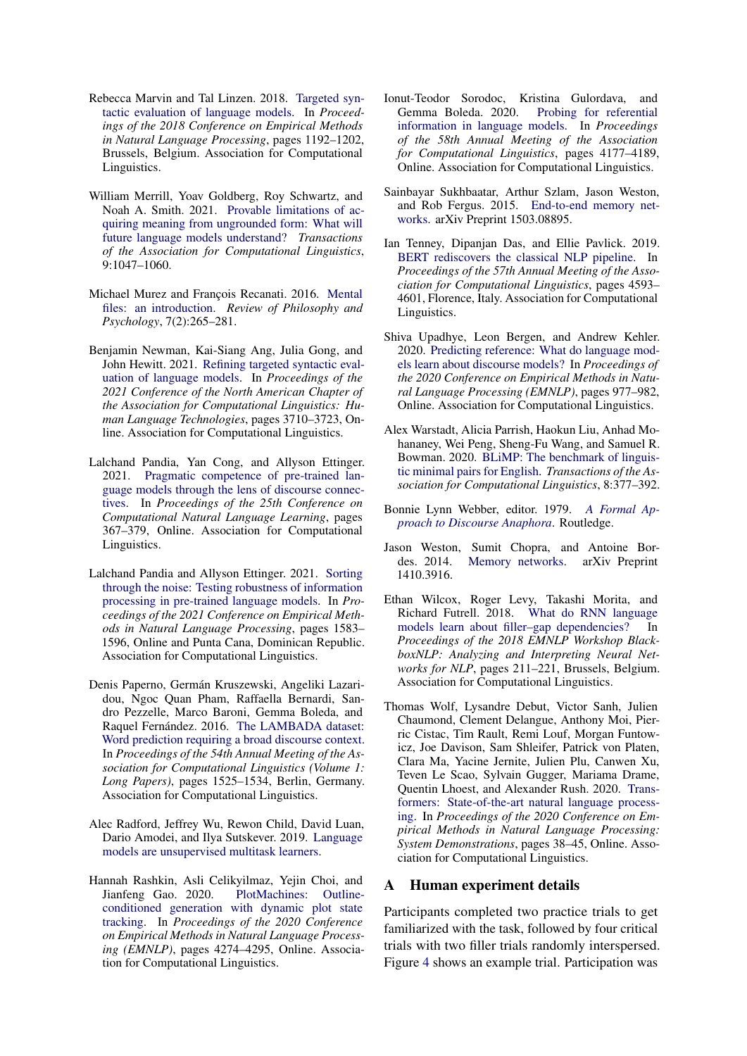- <span id="page-11-3"></span>Rebecca Marvin and Tal Linzen. 2018. [Targeted syn](https://doi.org/10.18653/v1/D18-1151)[tactic evaluation of language models.](https://doi.org/10.18653/v1/D18-1151) In *Proceedings of the 2018 Conference on Empirical Methods in Natural Language Processing*, pages 1192–1202, Brussels, Belgium. Association for Computational Linguistics.
- <span id="page-11-14"></span>William Merrill, Yoav Goldberg, Roy Schwartz, and Noah A. Smith. 2021. [Provable limitations of ac](https://doi.org/10.1162/tacl_a_00412)[quiring meaning from ungrounded form: What will](https://doi.org/10.1162/tacl_a_00412) [future language models understand?](https://doi.org/10.1162/tacl_a_00412) *Transactions of the Association for Computational Linguistics*, 9:1047–1060.
- <span id="page-11-0"></span>Michael Murez and François Recanati. 2016. [Mental](https://doi.org/10.1007/s13164-016-0314-3) [files: an introduction.](https://doi.org/10.1007/s13164-016-0314-3) *Review of Philosophy and Psychology*, 7(2):265–281.
- <span id="page-11-13"></span>Benjamin Newman, Kai-Siang Ang, Julia Gong, and John Hewitt. 2021. [Refining targeted syntactic eval](https://doi.org/10.18653/v1/2021.naacl-main.290)[uation of language models.](https://doi.org/10.18653/v1/2021.naacl-main.290) In *Proceedings of the 2021 Conference of the North American Chapter of the Association for Computational Linguistics: Human Language Technologies*, pages 3710–3723, Online. Association for Computational Linguistics.
- <span id="page-11-7"></span>Lalchand Pandia, Yan Cong, and Allyson Ettinger. 2021. [Pragmatic competence of pre-trained lan](https://doi.org/10.18653/v1/2021.conll-1.29)[guage models through the lens of discourse connec](https://doi.org/10.18653/v1/2021.conll-1.29)[tives.](https://doi.org/10.18653/v1/2021.conll-1.29) In *Proceedings of the 25th Conference on Computational Natural Language Learning*, pages 367–379, Online. Association for Computational Linguistics.
- <span id="page-11-6"></span>Lalchand Pandia and Allyson Ettinger. 2021. [Sorting](https://doi.org/10.18653/v1/2021.emnlp-main.119) [through the noise: Testing robustness of information](https://doi.org/10.18653/v1/2021.emnlp-main.119) [processing in pre-trained language models.](https://doi.org/10.18653/v1/2021.emnlp-main.119) In *Proceedings of the 2021 Conference on Empirical Methods in Natural Language Processing*, pages 1583– 1596, Online and Punta Cana, Dominican Republic. Association for Computational Linguistics.
- <span id="page-11-2"></span>Denis Paperno, Germán Kruszewski, Angeliki Lazaridou, Ngoc Quan Pham, Raffaella Bernardi, Sandro Pezzelle, Marco Baroni, Gemma Boleda, and Raquel Fernández. 2016. [The LAMBADA dataset:](https://doi.org/10.18653/v1/P16-1144) [Word prediction requiring a broad discourse context.](https://doi.org/10.18653/v1/P16-1144) In *Proceedings of the 54th Annual Meeting of the Association for Computational Linguistics (Volume 1: Long Papers)*, pages 1525–1534, Berlin, Germany. Association for Computational Linguistics.
- <span id="page-11-1"></span>Alec Radford, Jeffrey Wu, Rewon Child, David Luan, Dario Amodei, and Ilya Sutskever. 2019. [Language](https://d4mucfpksywv.cloudfront.net/better-language-models/language_models_are_unsupervised_multitask_learners.pdf) [models are unsupervised multitask learners.](https://d4mucfpksywv.cloudfront.net/better-language-models/language_models_are_unsupervised_multitask_learners.pdf)
- <span id="page-11-17"></span>Hannah Rashkin, Asli Celikyilmaz, Yejin Choi, and Jianfeng Gao. 2020. [PlotMachines: Outline](https://doi.org/10.18653/v1/2020.emnlp-main.349)[conditioned generation with dynamic plot state](https://doi.org/10.18653/v1/2020.emnlp-main.349) [tracking.](https://doi.org/10.18653/v1/2020.emnlp-main.349) In *Proceedings of the 2020 Conference on Empirical Methods in Natural Language Processing (EMNLP)*, pages 4274–4295, Online. Association for Computational Linguistics.
- <span id="page-11-9"></span>Ionut-Teodor Sorodoc, Kristina Gulordava, and Gemma Boleda. 2020. [Probing for referential](https://doi.org/10.18653/v1/2020.acl-main.384) [information in language models.](https://doi.org/10.18653/v1/2020.acl-main.384) In *Proceedings of the 58th Annual Meeting of the Association for Computational Linguistics*, pages 4177–4189, Online. Association for Computational Linguistics.
- <span id="page-11-16"></span>Sainbayar Sukhbaatar, Arthur Szlam, Jason Weston, and Rob Fergus. 2015. [End-to-end memory net](http://arxiv.org/abs/1503.08895)[works.](http://arxiv.org/abs/1503.08895) arXiv Preprint 1503.08895.
- <span id="page-11-10"></span>Ian Tenney, Dipanjan Das, and Ellie Pavlick. 2019. [BERT rediscovers the classical NLP pipeline.](https://doi.org/10.18653/v1/P19-1452) In *Proceedings of the 57th Annual Meeting of the Association for Computational Linguistics*, pages 4593– 4601, Florence, Italy. Association for Computational Linguistics.
- <span id="page-11-8"></span>Shiva Upadhye, Leon Bergen, and Andrew Kehler. 2020. [Predicting reference: What do language mod](https://doi.org/10.18653/v1/2020.emnlp-main.70)[els learn about discourse models?](https://doi.org/10.18653/v1/2020.emnlp-main.70) In *Proceedings of the 2020 Conference on Empirical Methods in Natural Language Processing (EMNLP)*, pages 977–982, Online. Association for Computational Linguistics.
- <span id="page-11-4"></span>Alex Warstadt, Alicia Parrish, Haokun Liu, Anhad Mohananey, Wei Peng, Sheng-Fu Wang, and Samuel R. Bowman. 2020. [BLiMP: The benchmark of linguis](https://doi.org/10.1162/tacl_a_00321)[tic minimal pairs for English.](https://doi.org/10.1162/tacl_a_00321) *Transactions of the Association for Computational Linguistics*, 8:377–392.
- <span id="page-11-11"></span>Bonnie Lynn Webber, editor. 1979. *[A Formal Ap](https://doi.org/10.4324/9781315403342)[proach to Discourse Anaphora](https://doi.org/10.4324/9781315403342)*. Routledge.
- <span id="page-11-15"></span>Jason Weston, Sumit Chopra, and Antoine Bor-[Memory networks.](http://arxiv.org/abs/1410.3916) arXiv Preprint 1410.3916.
- <span id="page-11-5"></span>Ethan Wilcox, Roger Levy, Takashi Morita, and Richard Futrell. 2018. [What do RNN language](https://doi.org/10.18653/v1/W18-5423) models learn about filler-gap dependencies? In *Proceedings of the 2018 EMNLP Workshop BlackboxNLP: Analyzing and Interpreting Neural Networks for NLP*, pages 211–221, Brussels, Belgium. Association for Computational Linguistics.
- <span id="page-11-12"></span>Thomas Wolf, Lysandre Debut, Victor Sanh, Julien Chaumond, Clement Delangue, Anthony Moi, Pierric Cistac, Tim Rault, Remi Louf, Morgan Funtowicz, Joe Davison, Sam Shleifer, Patrick von Platen, Clara Ma, Yacine Jernite, Julien Plu, Canwen Xu, Teven Le Scao, Sylvain Gugger, Mariama Drame, Quentin Lhoest, and Alexander Rush. 2020. [Trans](https://doi.org/10.18653/v1/2020.emnlp-demos.6)[formers: State-of-the-art natural language process](https://doi.org/10.18653/v1/2020.emnlp-demos.6)[ing.](https://doi.org/10.18653/v1/2020.emnlp-demos.6) In *Proceedings of the 2020 Conference on Empirical Methods in Natural Language Processing: System Demonstrations*, pages 38–45, Online. Association for Computational Linguistics.

### A Human experiment details

Participants completed two practice trials to get familiarized with the task, followed by four critical trials with two filler trials randomly interspersed. Figure [4](#page-13-0) shows an example trial. Participation was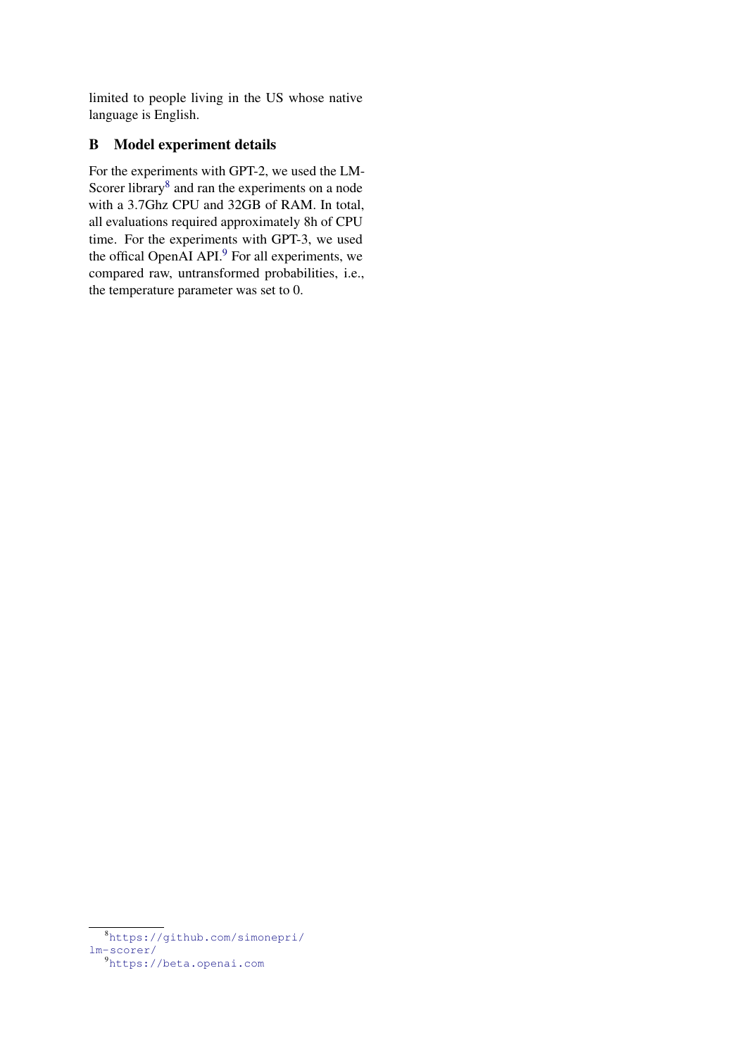limited to people living in the US whose native language is English.

# B Model experiment details

For the experiments with GPT-2, we used the LM-Scorer library<sup>[8](#page-12-0)</sup> and ran the experiments on a node with a 3.7Ghz CPU and 32GB of RAM. In total, all evaluations required approximately 8h of CPU time. For the experiments with GPT-3, we used the offical OpenAI API.<sup>[9](#page-12-1)</sup> For all experiments, we compared raw, untransformed probabilities, i.e., the temperature parameter was set to 0.

<span id="page-12-0"></span><sup>8</sup>[https://github.com/simonepri/](https://github.com/simonepri/lm-scorer/) [lm-scorer/](https://github.com/simonepri/lm-scorer/)

<span id="page-12-1"></span><sup>9</sup><https://beta.openai.com>